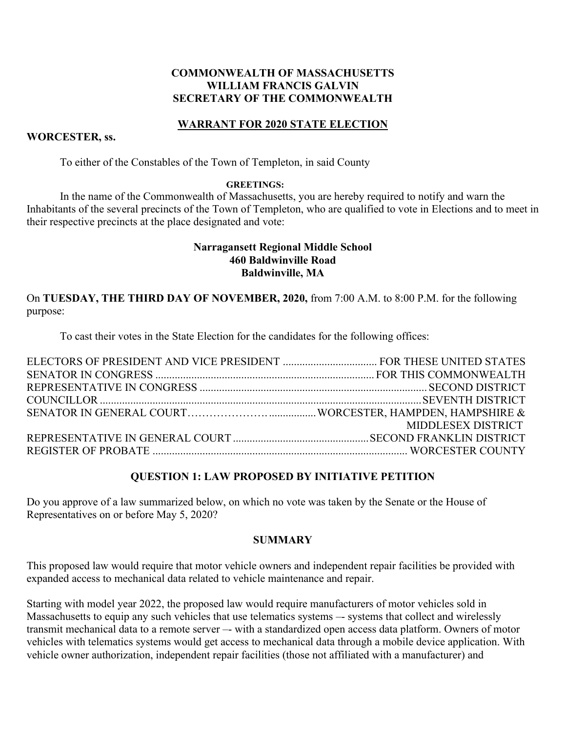## **COMMONWEALTH OF MASSACHUSETTS WILLIAM FRANCIS GALVIN SECRETARY OF THE COMMONWEALTH**

## **WARRANT FOR 2020 STATE ELECTION**

### **WORCESTER, ss.**

To either of the Constables of the Town of Templeton, in said County

#### **GREETINGS:**

In the name of the Commonwealth of Massachusetts, you are hereby required to notify and warn the Inhabitants of the several precincts of the Town of Templeton, who are qualified to vote in Elections and to meet in their respective precincts at the place designated and vote:

### **Narragansett Regional Middle School 460 Baldwinville Road Baldwinville, MA**

On **TUESDAY, THE THIRD DAY OF NOVEMBER, 2020,** from 7:00 A.M. to 8:00 P.M. for the following purpose:

To cast their votes in the State Election for the candidates for the following offices:

| MIDDLESEX DISTRICT |
|--------------------|
|                    |
|                    |

#### **QUESTION 1: LAW PROPOSED BY INITIATIVE PETITION**

Do you approve of a law summarized below, on which no vote was taken by the Senate or the House of Representatives on or before May 5, 2020?

#### **SUMMARY**

This proposed law would require that motor vehicle owners and independent repair facilities be provided with expanded access to mechanical data related to vehicle maintenance and repair.

Starting with model year 2022, the proposed law would require manufacturers of motor vehicles sold in Massachusetts to equip any such vehicles that use telematics systems –- systems that collect and wirelessly transmit mechanical data to a remote server –- with a standardized open access data platform. Owners of motor vehicles with telematics systems would get access to mechanical data through a mobile device application. With vehicle owner authorization, independent repair facilities (those not affiliated with a manufacturer) and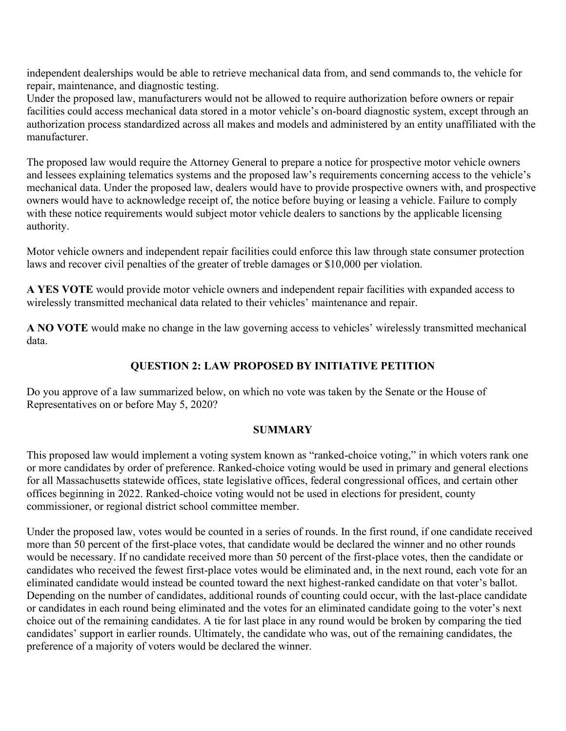independent dealerships would be able to retrieve mechanical data from, and send commands to, the vehicle for repair, maintenance, and diagnostic testing.

Under the proposed law, manufacturers would not be allowed to require authorization before owners or repair facilities could access mechanical data stored in a motor vehicle's on-board diagnostic system, except through an authorization process standardized across all makes and models and administered by an entity unaffiliated with the manufacturer.

The proposed law would require the Attorney General to prepare a notice for prospective motor vehicle owners and lessees explaining telematics systems and the proposed law's requirements concerning access to the vehicle's mechanical data. Under the proposed law, dealers would have to provide prospective owners with, and prospective owners would have to acknowledge receipt of, the notice before buying or leasing a vehicle. Failure to comply with these notice requirements would subject motor vehicle dealers to sanctions by the applicable licensing authority.

Motor vehicle owners and independent repair facilities could enforce this law through state consumer protection laws and recover civil penalties of the greater of treble damages or \$10,000 per violation.

**A YES VOTE** would provide motor vehicle owners and independent repair facilities with expanded access to wirelessly transmitted mechanical data related to their vehicles' maintenance and repair.

**A NO VOTE** would make no change in the law governing access to vehicles' wirelessly transmitted mechanical data.

# **QUESTION 2: LAW PROPOSED BY INITIATIVE PETITION**

Do you approve of a law summarized below, on which no vote was taken by the Senate or the House of Representatives on or before May 5, 2020?

# **SUMMARY**

This proposed law would implement a voting system known as "ranked-choice voting," in which voters rank one or more candidates by order of preference. Ranked-choice voting would be used in primary and general elections for all Massachusetts statewide offices, state legislative offices, federal congressional offices, and certain other offices beginning in 2022. Ranked-choice voting would not be used in elections for president, county commissioner, or regional district school committee member.

Under the proposed law, votes would be counted in a series of rounds. In the first round, if one candidate received more than 50 percent of the first-place votes, that candidate would be declared the winner and no other rounds would be necessary. If no candidate received more than 50 percent of the first-place votes, then the candidate or candidates who received the fewest first-place votes would be eliminated and, in the next round, each vote for an eliminated candidate would instead be counted toward the next highest-ranked candidate on that voter's ballot. Depending on the number of candidates, additional rounds of counting could occur, with the last-place candidate or candidates in each round being eliminated and the votes for an eliminated candidate going to the voter's next choice out of the remaining candidates. A tie for last place in any round would be broken by comparing the tied candidates' support in earlier rounds. Ultimately, the candidate who was, out of the remaining candidates, the preference of a majority of voters would be declared the winner.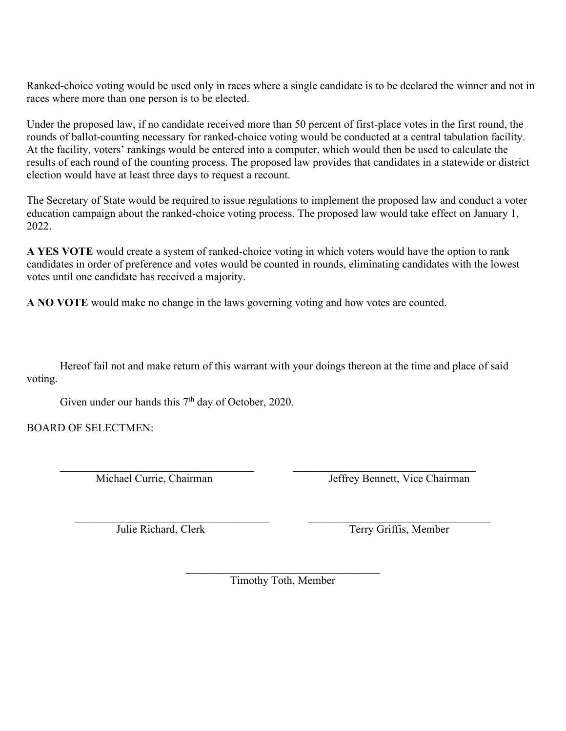Ranked-choice voting would be used only in races where a single candidate is to be declared the winner and not in races where more than one person is to be elected.

Under the proposed law, if no candidate received more than 50 percent of first-place votes in the first round, the rounds of ballot-counting necessary for ranked-choice voting would be conducted at a central tabulation facility. At the facility, voters' rankings would be entered into a computer, which would then be used to calculate the results of each round of the counting process. The proposed law provides that candidates in a statewide or district election would have at least three days to request a recount.

The Secretary of State would be required to issue regulations to implement the proposed law and conduct a voter education campaign about the ranked-choice voting process. The proposed law would take effect on January 1, 2022.

**A YES VOTE** would create a system of ranked-choice voting in which voters would have the option to rank candidates in order of preference and votes would be counted in rounds, eliminating candidates with the lowest votes until one candidate has received a majority.

**A NO VOTE** would make no change in the laws governing voting and how votes are counted.

Hereof fail not and make return of this warrant with your doings thereon at the time and place of said voting.

Given under our hands this  $7<sup>th</sup>$  day of October, 2020.

BOARD OF SELECTMEN:

Michael Currie, Chairman Jeffrey Bennett, Vice Chairman

Julie Richard, Clerk Terry Griffis, Member

 $\mathcal{L}_\text{max}$  and  $\mathcal{L}_\text{max}$  and  $\mathcal{L}_\text{max}$  and  $\mathcal{L}_\text{max}$ Timothy Toth, Member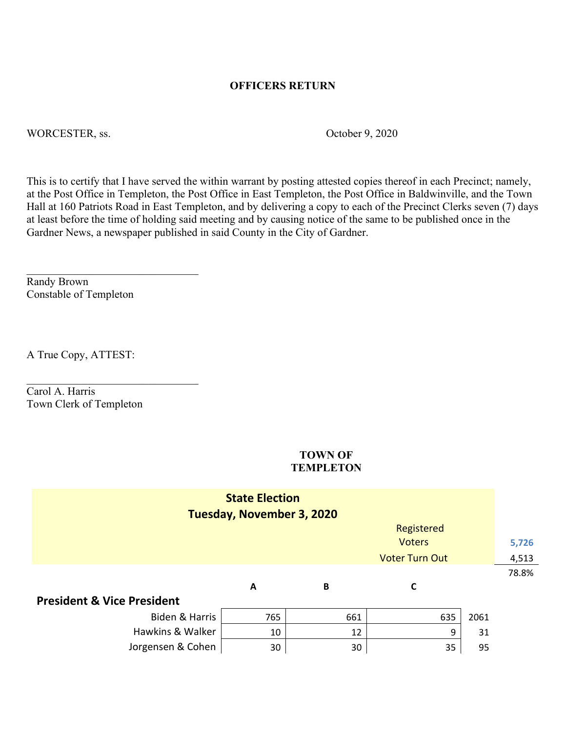### **OFFICERS RETURN**

WORCESTER, ss.  $October 9, 2020$ 

This is to certify that I have served the within warrant by posting attested copies thereof in each Precinct; namely, at the Post Office in Templeton, the Post Office in East Templeton, the Post Office in Baldwinville, and the Town Hall at 160 Patriots Road in East Templeton, and by delivering a copy to each of the Precinct Clerks seven (7) days at least before the time of holding said meeting and by causing notice of the same to be published once in the Gardner News, a newspaper published in said County in the City of Gardner.

Randy Brown Constable of Templeton

A True Copy, ATTEST:

Carol A. Harris Town Clerk of Templeton

\_\_\_\_\_\_\_\_\_\_\_\_\_\_\_\_\_\_\_\_\_\_\_\_\_\_\_\_\_\_\_

#### **TOWN OF TEMPLETON**

| <b>State Election</b><br><b>Tuesday, November 3, 2020</b> |     |     |     |      |       |
|-----------------------------------------------------------|-----|-----|-----|------|-------|
| Registered                                                |     |     |     |      |       |
| <b>Voters</b>                                             |     |     |     |      | 5,726 |
| <b>Voter Turn Out</b>                                     |     |     |     |      | 4,513 |
|                                                           |     |     |     |      | 78.8% |
|                                                           | A   | B   | C   |      |       |
| <b>President &amp; Vice President</b>                     |     |     |     |      |       |
| Biden & Harris                                            | 765 | 661 | 635 | 2061 |       |
| Hawkins & Walker                                          | 10  | 12  | 9   | 31   |       |
| Jorgensen & Cohen                                         | 30  | 30  | 35  | 95   |       |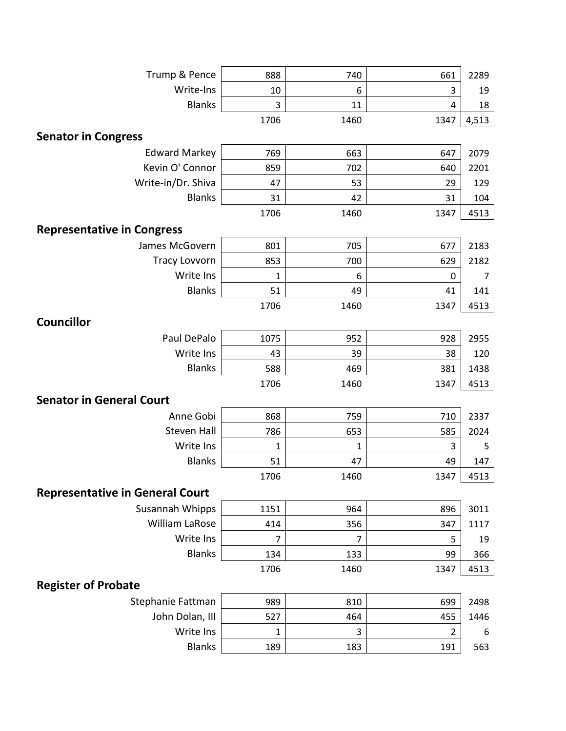| Trump & Pence                          | 888  | 740  | 661  | 2289  |
|----------------------------------------|------|------|------|-------|
| Write-Ins                              | 10   | 6    | 3    | 19    |
| <b>Blanks</b>                          | 3    | 11   | 4    | 18    |
|                                        | 1706 | 1460 | 1347 | 4,513 |
| <b>Senator in Congress</b>             |      |      |      |       |
| <b>Edward Markey</b>                   | 769  | 663  | 647  | 2079  |
| Kevin O' Connor                        | 859  | 702  | 640  | 2201  |
| Write-in/Dr. Shiva                     | 47   | 53   | 29   | 129   |
| <b>Blanks</b>                          | 31   | 42   | 31   | 104   |
|                                        | 1706 | 1460 | 1347 | 4513  |
| <b>Representative in Congress</b>      |      |      |      |       |
| James McGovern                         | 801  | 705  | 677  | 2183  |
| <b>Tracy Lovvorn</b>                   | 853  | 700  | 629  | 2182  |
| Write Ins                              | 1    | 6    | 0    | 7     |
| <b>Blanks</b>                          | 51   | 49   | 41   | 141   |
|                                        | 1706 | 1460 | 1347 | 4513  |
| <b>Councillor</b>                      |      |      |      |       |
| Paul DePalo                            | 1075 | 952  | 928  | 2955  |
| Write Ins                              | 43   | 39   | 38   | 120   |
| <b>Blanks</b>                          | 588  | 469  | 381  | 1438  |
|                                        | 1706 | 1460 | 1347 | 4513  |
| <b>Senator in General Court</b>        |      |      |      |       |
| Anne Gobi                              | 868  | 759  | 710  | 2337  |
| <b>Steven Hall</b>                     | 786  | 653  | 585  | 2024  |
| Write Ins                              | 1    | 1    | 3    | 5     |
| <b>Blanks</b>                          | 51   | 47   | 49   | 147   |
|                                        | 1706 | 1460 | 1347 | 4513  |
| <b>Representative in General Court</b> |      |      |      |       |
| Susannah Whipps                        | 1151 | 964  | 896  | 3011  |
| William LaRose                         | 414  | 356  | 347  | 1117  |
| Write Ins                              | 7    | 7    | 5    | 19    |
| <b>Blanks</b>                          | 134  | 133  | 99   | 366   |
|                                        | 1706 | 1460 | 1347 | 4513  |
| <b>Register of Probate</b>             |      |      |      |       |
| Stephanie Fattman                      | 989  | 810  | 699  | 2498  |
| John Dolan, III                        | 527  | 464  | 455  | 1446  |
| Write Ins                              | 1    | 3    | 2    | 6     |
| <b>Blanks</b>                          | 189  | 183  | 191  | 563   |
|                                        |      |      |      |       |